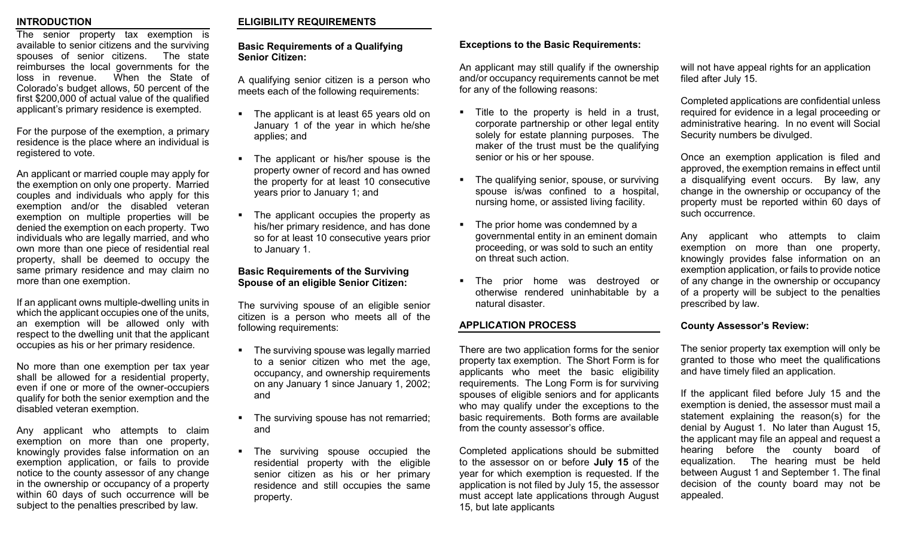#### **INTRODUCTION**

The senior property tax exemption is available to senior citizens and the surviving spouses of senior citizens. The state reimburses the local governments for the loss in revenue. When the State of Colorado's budget allows, 50 percent of the first \$200,000 of actual value of the qualified applicant's primary residence is exempted.

For the purpose of the exemption, a primary residence is the place where an individual is registered to vote.

An applicant or married couple may apply for the exemption on only one property. Married couples and individuals who apply for this exemption and/or the disabled veteran exemption on multiple properties will be denied the exemption on each property.Two individuals who are legally married, and who own more than one piece of residential real property, shall be deemed to occupy the same primary residence and may claim no more than one exemption.

If an applicant owns multiple-dwelling units in which the applicant occupies one of the units, an exemption will be allowed only with respect to the dwelling unit that the applicant occupies as his or her primary residence.

No more than one exemption per tax year shall be allowed for a residential property, even if one or more of the owner-occupiers qualify for both the senior exemption and the disabled veteran exemption.

Any applicant who attempts to claim exemption on more than one property, knowingly provides false information on an exemption application, or fails to provide notice to the county assessor of any change in the ownership or occupancy of a property within 60 days of such occurrence will be subject to the penalties prescribed by law.

## **ELIGIBILITY REQUIREMENTS**

#### **Basic Requirements of a Qualifying Senior Citizen:**

A qualifying senior citizen is a person who meets each of the following requirements:

- The applicant is at least 65 years old on January 1 of the year in which he/she applies; and
- The applicant or his/her spouse is the property owner of record and has owned the property for at least 10 consecutive years prior to January 1; and
- The applicant occupies the property as his/her primary residence, and has done so for at least 10 consecutive years prior to January 1.

### **Basic Requirements of the Surviving Spouse of an eligible Senior Citizen:**

The surviving spouse of an eligible senior citizen is a person who meets all of the following requirements:

- The surviving spouse was legally married to a senior citizen who met the age, occupancy, and ownership requirements on any January 1 since January 1, 2002; and
- The surviving spouse has not remarried; and
- The surviving spouse occupied the residential property with the eligible senior citizen as his or her primary residence and still occupies the same property.

## **Exceptions to the Basic Requirements:**

An applicant may still qualify if the ownership and/or occupancy requirements cannot be met for any of the following reasons:

- **Title to the property is held in a trust,** corporate partnership or other legal entity solely for estate planning purposes. The maker of the trust must be the qualifying senior or his or her spouse.
- The qualifying senior, spouse, or surviving spouse is/was confined to a hospital, nursing home, or assisted living facility.
- The prior home was condemned by a governmental entity in an eminent domain proceeding, or was sold to such an entity on threat such action.
- The prior home was destroyed or otherwise rendered uninhabitable by a natural disaster.

## **APPLICATION PROCESS**

There are two application forms for the senior property tax exemption. The Short Form is for applicants who meet the basic eligibility requirements. The Long Form is for surviving spouses of eligible seniors and for applicants who may qualify under the exceptions to the basic requirements. Both forms are available from the county assessor's office.

Completed applications should be submitted to the assessor on or before **July 15** of the year for which exemption is requested. If the application is not filed by July 15, the assessor must accept late applications through August 15, but late applicants

will not have appeal rights for an application filed after July 15.

Completed applications are confidential unless required for evidence in a legal proceeding or administrative hearing. In no event will Social Security numbers be divulged.

Once an exemption application is filed and approved, the exemption remains in effect until a disqualifying event occurs. By law, any change in the ownership or occupancy of the property must be reported within 60 days of such occurrence.

Any applicant who attempts to claim exemption on more than one property, knowingly provides false information on an exemption application, or fails to provide notice of any change in the ownership or occupancy of a property will be subject to the penalties prescribed by law.

#### **County Assessor's Review:**

The senior property tax exemption will only be granted to those who meet the qualifications and have timely filed an application.

If the applicant filed before July 15 and the exemption is denied, the assessor must mail a statement explaining the reason(s) for the denial by August 1. No later than August 15, the applicant may file an appeal and request a hearing before the county board of equalization. The hearing must be held between August 1 and September 1. The final decision of the county board may not be appealed.